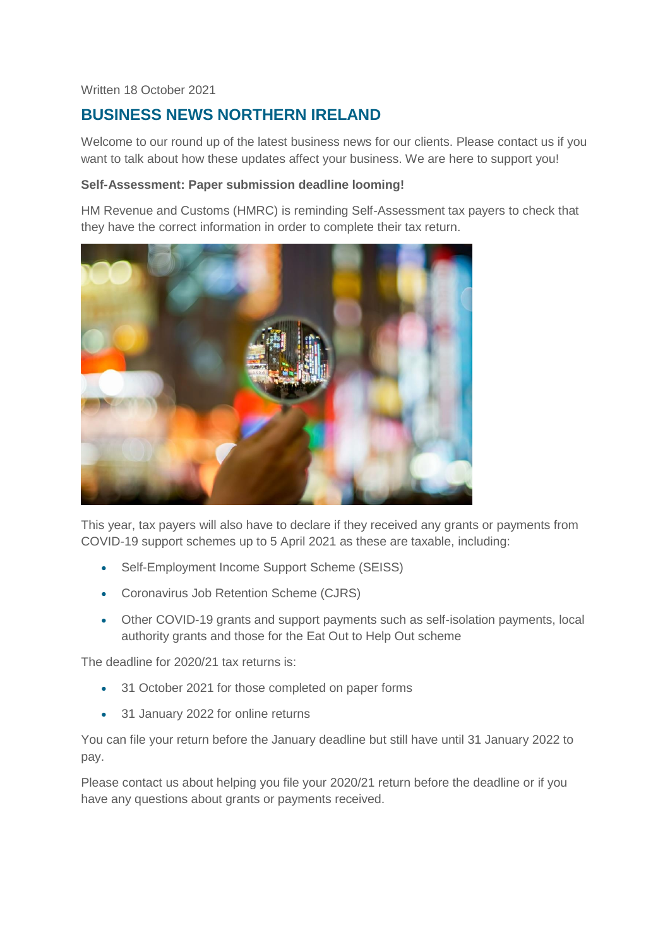## Written 18 October 2021

# **BUSINESS NEWS NORTHERN IRELAND**

Welcome to our round up of the latest business news for our clients. Please contact us if you want to talk about how these updates affect your business. We are here to support you!

### **Self-Assessment: Paper submission deadline looming!**

HM Revenue and Customs (HMRC) is reminding Self-Assessment tax payers to check that they have the correct information in order to complete their tax return.



This year, tax payers will also have to declare if they received any grants or payments from COVID-19 support schemes up to 5 April 2021 as these are taxable, including:

- Self-Employment Income Support Scheme (SEISS)
- Coronavirus Job Retention Scheme (CJRS)
- Other COVID-19 grants and support payments such as self-isolation payments, local authority grants and those for the Eat Out to Help Out scheme

The deadline for 2020/21 tax returns is:

- 31 October 2021 for those completed on paper forms
- 31 January 2022 for online returns

You can file your return before the January deadline but still have until 31 January 2022 to pay.

Please contact us about helping you file your 2020/21 return before the deadline or if you have any questions about grants or payments received.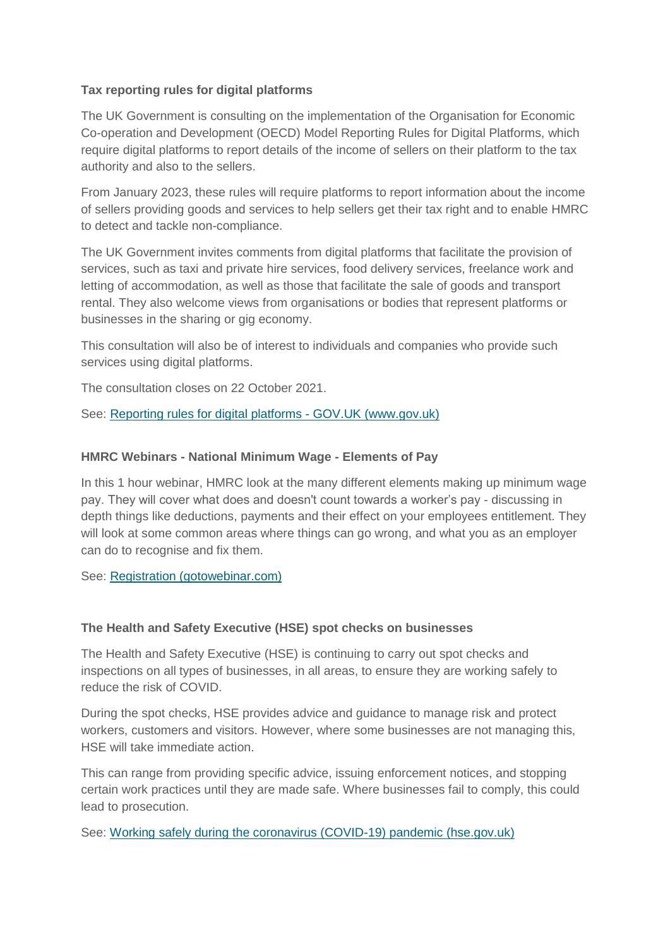# **Tax reporting rules for digital platforms**

The UK Government is consulting on the implementation of the Organisation for Economic Co-operation and Development (OECD) Model Reporting Rules for Digital Platforms, which require digital platforms to report details of the income of sellers on their platform to the tax authority and also to the sellers.

From January 2023, these rules will require platforms to report information about the income of sellers providing goods and services to help sellers get their tax right and to enable HMRC to detect and tackle non-compliance.

The UK Government invites comments from digital platforms that facilitate the provision of services, such as taxi and private hire services, food delivery services, freelance work and letting of accommodation, as well as those that facilitate the sale of goods and transport rental. They also welcome views from organisations or bodies that represent platforms or businesses in the sharing or gig economy.

This consultation will also be of interest to individuals and companies who provide such services using digital platforms.

The consultation closes on 22 October 2021.

See: [Reporting rules for digital platforms -](https://www.gov.uk/government/consultations/reporting-rules-for-digital-platforms) GOV.UK (www.gov.uk)

# **HMRC Webinars - National Minimum Wage - Elements of Pay**

In this 1 hour webinar, HMRC look at the many different elements making up minimum wage pay. They will cover what does and doesn't count towards a worker's pay - discussing in depth things like deductions, payments and their effect on your employees entitlement. They will look at some common areas where things can go wrong, and what you as an employer can do to recognise and fix them.

See: [Registration \(gotowebinar.com\)](https://register.gotowebinar.com/rt/5547794143667102477)

# **The Health and Safety Executive (HSE) spot checks on businesses**

The Health and Safety Executive (HSE) is continuing to carry out spot checks and inspections on all types of businesses, in all areas, to ensure they are working safely to reduce the risk of COVID.

During the spot checks, HSE provides advice and guidance to manage risk and protect workers, customers and visitors. However, where some businesses are not managing this, HSE will take immediate action.

This can range from providing specific advice, issuing enforcement notices, and stopping certain work practices until they are made safe. Where businesses fail to comply, this could lead to prosecution.

See: [Working safely during the coronavirus \(COVID-19\) pandemic \(hse.gov.uk\)](https://www.hse.gov.uk/coronavirus/working-safely/index.htm?utm_source=govdelivery&utm_medium=email&utm_campaign=coronavirus&utm_term=spot-inspections-3&utm_content=digest-29-sep-21)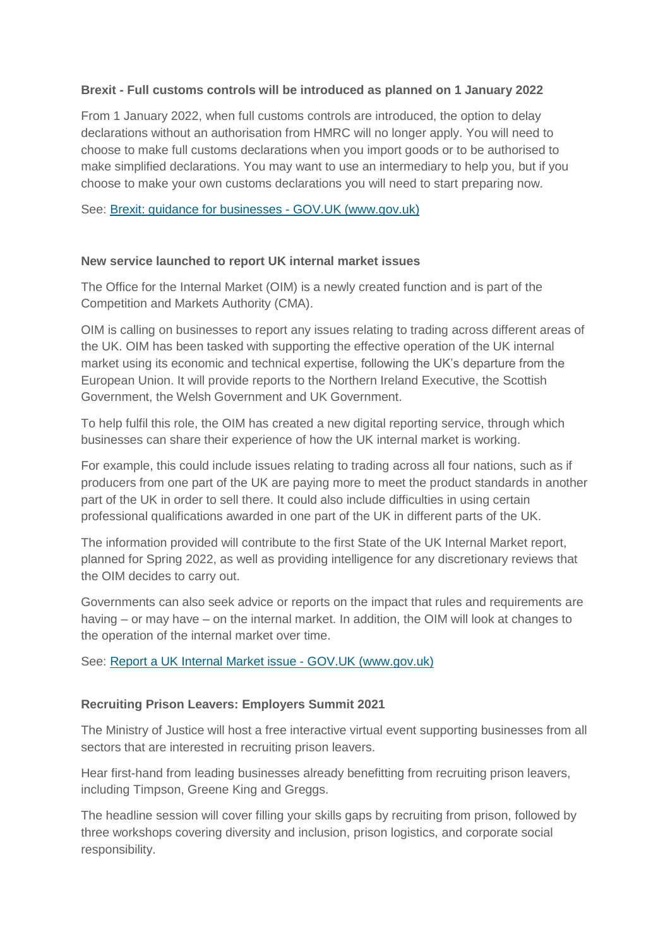## **Brexit - Full customs controls will be introduced as planned on 1 January 2022**

From 1 January 2022, when full customs controls are introduced, the option to delay declarations without an authorisation from HMRC will no longer apply. You will need to choose to make full customs declarations when you import goods or to be authorised to make simplified declarations. You may want to use an intermediary to help you, but if you choose to make your own customs declarations you will need to start preparing now.

See: [Brexit: guidance for businesses -](https://www.gov.uk/guidance/brexit-guidance-for-businesses) GOV.UK (www.gov.uk)

#### **New service launched to report UK internal market issues**

The Office for the Internal Market (OIM) is a newly created function and is part of the Competition and Markets Authority (CMA).

OIM is calling on businesses to report any issues relating to trading across different areas of the UK. OIM has been tasked with supporting the effective operation of the UK internal market using its economic and technical expertise, following the UK's departure from the European Union. It will provide reports to the Northern Ireland Executive, the Scottish Government, the Welsh Government and UK Government.

To help fulfil this role, the OIM has created a new digital reporting service, through which businesses can share their experience of how the UK internal market is working.

For example, this could include issues relating to trading across all four nations, such as if producers from one part of the UK are paying more to meet the product standards in another part of the UK in order to sell there. It could also include difficulties in using certain professional qualifications awarded in one part of the UK in different parts of the UK.

The information provided will contribute to the first State of the UK Internal Market report, planned for Spring 2022, as well as providing intelligence for any discretionary reviews that the OIM decides to carry out.

Governments can also seek advice or reports on the impact that rules and requirements are having – or may have – on the internal market. In addition, the OIM will look at changes to the operation of the internal market over time.

See: [Report a UK Internal Market issue -](https://www.gov.uk/guidance/report-a-uk-internal-market-issue) GOV.UK (www.gov.uk)

#### **Recruiting Prison Leavers: Employers Summit 2021**

The Ministry of Justice will host a free interactive virtual event supporting businesses from all sectors that are interested in recruiting prison leavers.

Hear first-hand from leading businesses already benefitting from recruiting prison leavers, including Timpson, Greene King and Greggs.

The headline session will cover filling your skills gaps by recruiting from prison, followed by three workshops covering diversity and inclusion, prison logistics, and corporate social responsibility.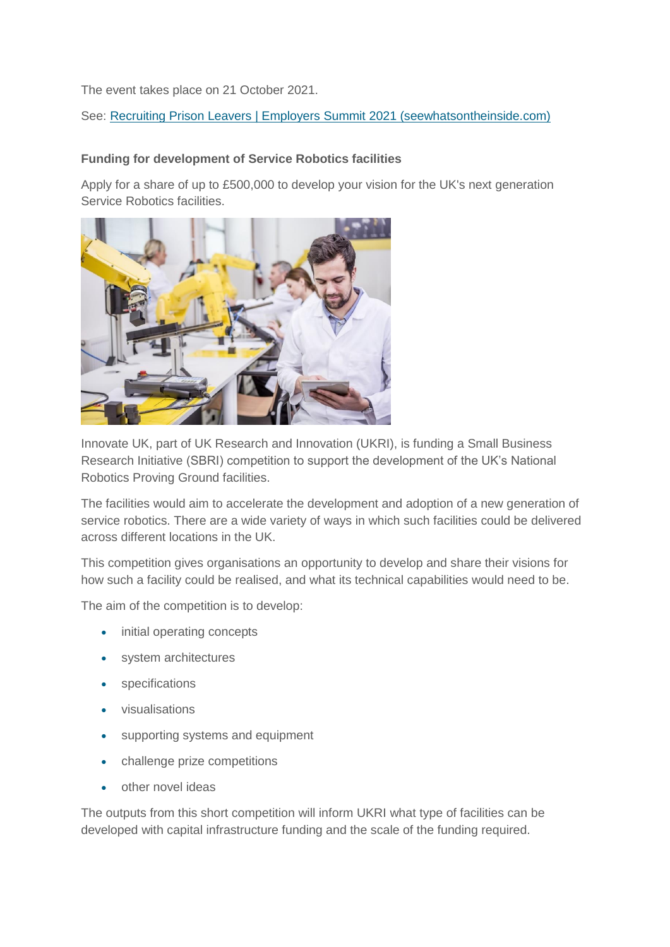The event takes place on 21 October 2021.

See: [Recruiting Prison Leavers | Employers Summit 2021 \(seewhatsontheinside.com\)](https://seewhatsontheinside.com/)

## **Funding for development of Service Robotics facilities**

Apply for a share of up to £500,000 to develop your vision for the UK's next generation Service Robotics facilities.



Innovate UK, part of UK Research and Innovation (UKRI), is funding a Small Business Research Initiative (SBRI) competition to support the development of the UK's National Robotics Proving Ground facilities.

The facilities would aim to accelerate the development and adoption of a new generation of service robotics. There are a wide variety of ways in which such facilities could be delivered across different locations in the UK.

This competition gives organisations an opportunity to develop and share their visions for how such a facility could be realised, and what its technical capabilities would need to be.

The aim of the competition is to develop:

- initial operating concepts
- system architectures
- specifications
- visualisations
- supporting systems and equipment
- challenge prize competitions
- other novel ideas

The outputs from this short competition will inform UKRI what type of facilities can be developed with capital infrastructure funding and the scale of the funding required.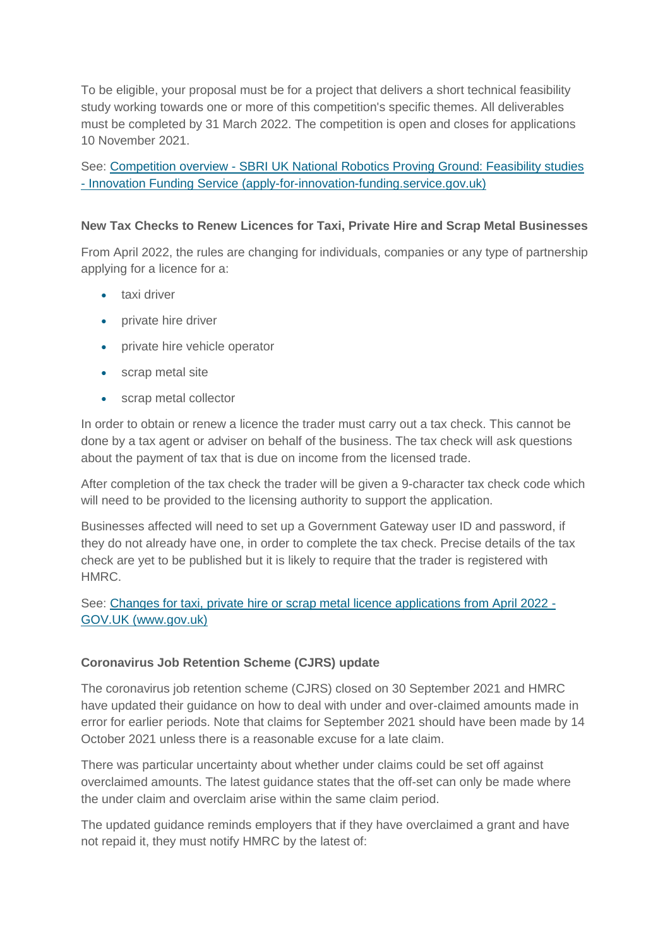To be eligible, your proposal must be for a project that delivers a short technical feasibility study working towards one or more of this competition's specific themes. All deliverables must be completed by 31 March 2022. The competition is open and closes for applications 10 November 2021.

See: Competition overview - [SBRI UK National Robotics Proving Ground: Feasibility studies](https://apply-for-innovation-funding.service.gov.uk/competition/1041/overview)  - [Innovation Funding Service \(apply-for-innovation-funding.service.gov.uk\)](https://apply-for-innovation-funding.service.gov.uk/competition/1041/overview)

## **New Tax Checks to Renew Licences for Taxi, Private Hire and Scrap Metal Businesses**

From April 2022, the rules are changing for individuals, companies or any type of partnership applying for a licence for a:

- **•** taxi driver
- private hire driver
- private hire vehicle operator
- scrap metal site
- scrap metal collector

In order to obtain or renew a licence the trader must carry out a tax check. This cannot be done by a tax agent or adviser on behalf of the business. The tax check will ask questions about the payment of tax that is due on income from the licensed trade.

After completion of the tax check the trader will be given a 9-character tax check code which will need to be provided to the licensing authority to support the application.

Businesses affected will need to set up a Government Gateway user ID and password, if they do not already have one, in order to complete the tax check. Precise details of the tax check are yet to be published but it is likely to require that the trader is registered with HMRC.

See: [Changes for taxi, private hire or scrap metal licence applications from April 2022 -](https://www.gov.uk/guidance/changes-for-taxi-private-hire-or-scrap-metal-licence-applications-from-april-2022) [GOV.UK \(www.gov.uk\)](https://www.gov.uk/guidance/changes-for-taxi-private-hire-or-scrap-metal-licence-applications-from-april-2022)

#### **Coronavirus Job Retention Scheme (CJRS) update**

The coronavirus job retention scheme (CJRS) closed on 30 September 2021 and HMRC have updated their guidance on how to deal with under and over-claimed amounts made in error for earlier periods. Note that claims for September 2021 should have been made by 14 October 2021 unless there is a reasonable excuse for a late claim.

There was particular uncertainty about whether under claims could be set off against overclaimed amounts. The latest guidance states that the off-set can only be made where the under claim and overclaim arise within the same claim period.

The updated guidance reminds employers that if they have overclaimed a grant and have not repaid it, they must notify HMRC by the latest of: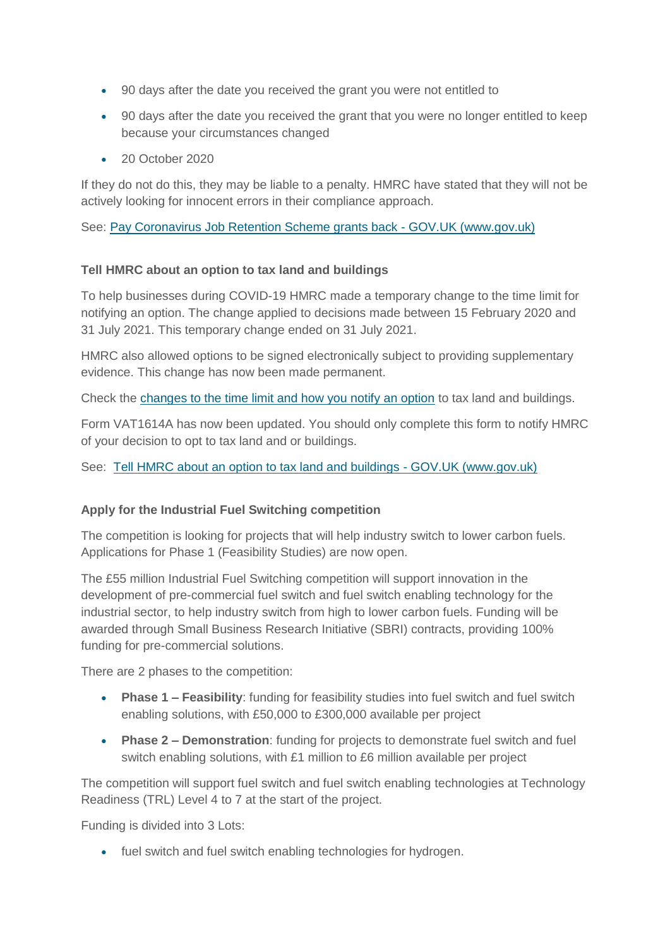- 90 days after the date you received the grant you were not entitled to
- 90 days after the date you received the grant that you were no longer entitled to keep because your circumstances changed
- 20 October 2020

If they do not do this, they may be liable to a penalty. HMRC have stated that they will not be actively looking for innocent errors in their compliance approach.

See: [Pay Coronavirus Job Retention Scheme grants back -](https://www.gov.uk/guidance/pay-coronavirus-job-retention-scheme-grants-back) GOV.UK (www.gov.uk)

## **Tell HMRC about an option to tax land and buildings**

To help businesses during COVID-19 HMRC made a temporary change to the time limit for notifying an option. The change applied to decisions made between 15 February 2020 and 31 July 2021. This temporary change ended on 31 July 2021.

HMRC also allowed options to be signed electronically subject to providing supplementary evidence. This change has now been made permanent.

Check the [changes to the time limit and how you notify an option](https://www.gov.uk/guidance/changes-to-notifying-an-option-to-tax-land-and-buildings-during-coronavirus-covid-19) to tax land and buildings.

Form VAT1614A has now been updated. You should only complete this form to notify HMRC of your decision to opt to tax land and or buildings.

See: [Tell HMRC about an option to tax land and buildings -](https://www.gov.uk/government/publications/vat-notification-of-an-option-to-tax-land-andor-buildings-vat1614a?utm_medium=email&utm_campaign=govuk-notifications&utm_source=3587ec7b-e3b9-458a-b6eb-6a8a9286a384&utm_content=daily) GOV.UK (www.gov.uk)

# **Apply for the Industrial Fuel Switching competition**

The competition is looking for projects that will help industry switch to lower carbon fuels. Applications for Phase 1 (Feasibility Studies) are now open.

The £55 million Industrial Fuel Switching competition will support innovation in the development of pre-commercial fuel switch and fuel switch enabling technology for the industrial sector, to help industry switch from high to lower carbon fuels. Funding will be awarded through Small Business Research Initiative (SBRI) contracts, providing 100% funding for pre-commercial solutions.

There are 2 phases to the competition:

- **Phase 1 – Feasibility**: funding for feasibility studies into fuel switch and fuel switch enabling solutions, with £50,000 to £300,000 available per project
- **Phase 2 – Demonstration**: funding for projects to demonstrate fuel switch and fuel switch enabling solutions, with £1 million to £6 million available per project

The competition will support fuel switch and fuel switch enabling technologies at Technology Readiness (TRL) Level 4 to 7 at the start of the project.

Funding is divided into 3 Lots:

• fuel switch and fuel switch enabling technologies for hydrogen.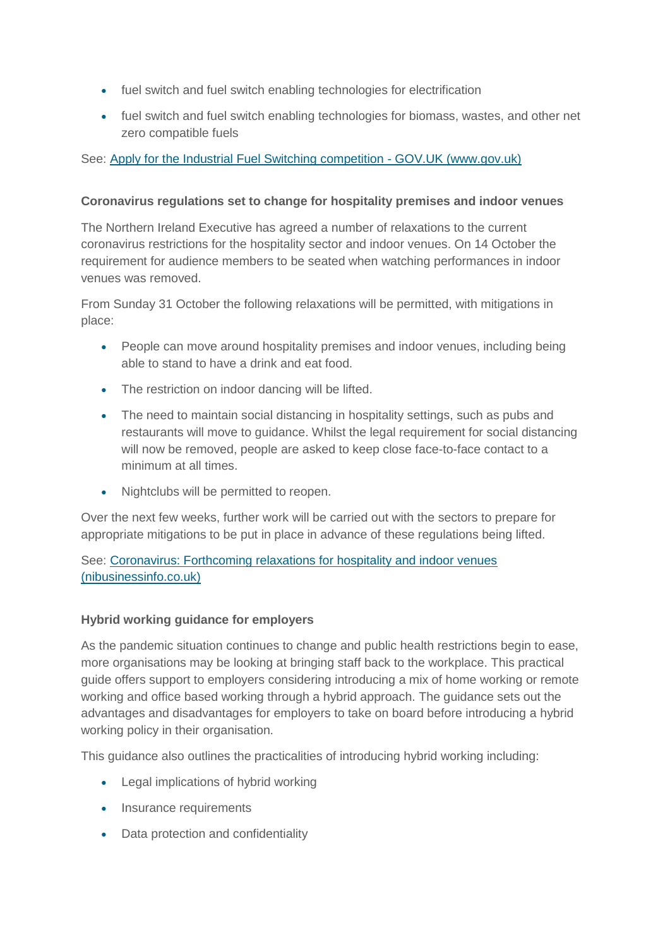- fuel switch and fuel switch enabling technologies for electrification
- fuel switch and fuel switch enabling technologies for biomass, wastes, and other net zero compatible fuels

# See: [Apply for the Industrial Fuel Switching competition -](https://www.gov.uk/government/publications/industrial-fuel-switching-competition) GOV.UK (www.gov.uk)

## **Coronavirus regulations set to change for hospitality premises and indoor venues**

The Northern Ireland Executive has agreed a number of relaxations to the current coronavirus restrictions for the hospitality sector and indoor venues. On 14 October the requirement for audience members to be seated when watching performances in indoor venues was removed.

From Sunday 31 October the following relaxations will be permitted, with mitigations in place:

- People can move around hospitality premises and indoor venues, including being able to stand to have a drink and eat food.
- The restriction on indoor dancing will be lifted.
- The need to maintain social distancing in hospitality settings, such as pubs and restaurants will move to guidance. Whilst the legal requirement for social distancing will now be removed, people are asked to keep close face-to-face contact to a minimum at all times.
- Nightclubs will be permitted to reopen.

Over the next few weeks, further work will be carried out with the sectors to prepare for appropriate mitigations to be put in place in advance of these regulations being lifted.

See: [Coronavirus: Forthcoming relaxations for hospitality and indoor venues](https://www.nibusinessinfo.co.uk/content/coronavirus-forthcoming-relaxations-hospitality-and-indoor-venues)  [\(nibusinessinfo.co.uk\)](https://www.nibusinessinfo.co.uk/content/coronavirus-forthcoming-relaxations-hospitality-and-indoor-venues)

#### **Hybrid working guidance for employers**

As the pandemic situation continues to change and public health restrictions begin to ease, more organisations may be looking at bringing staff back to the workplace. This practical guide offers support to employers considering introducing a mix of home working or remote working and office based working through a hybrid approach. The guidance sets out the advantages and disadvantages for employers to take on board before introducing a hybrid working policy in their organisation.

This guidance also outlines the practicalities of introducing hybrid working including:

- Legal implications of hybrid working
- Insurance requirements
- Data protection and confidentiality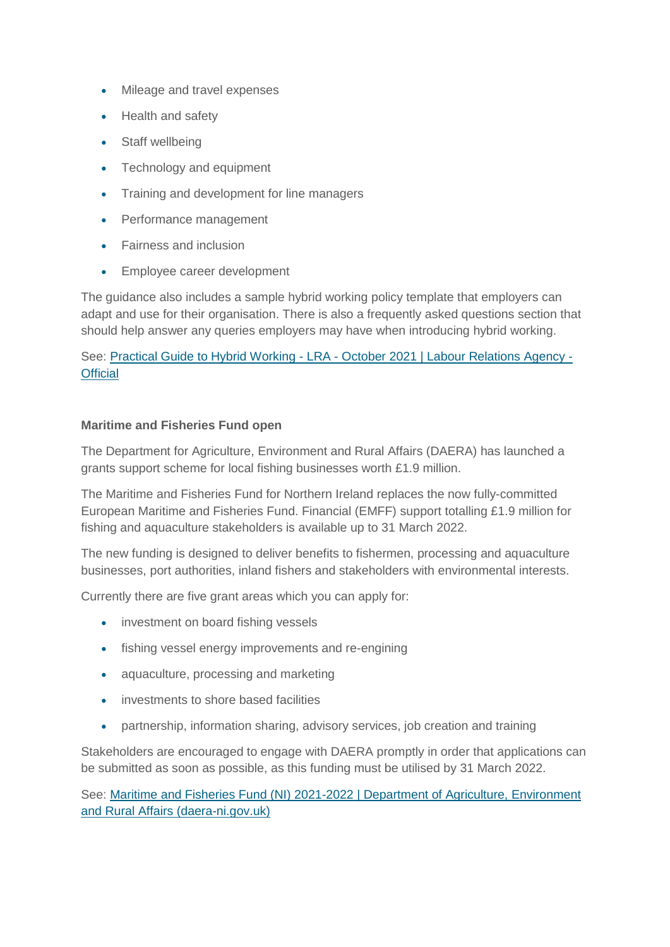- Mileage and travel expenses
- Health and safety
- Staff wellbeing
- Technology and equipment
- Training and development for line managers
- Performance management
- Fairness and inclusion
- Employee career development

The guidance also includes a sample hybrid working policy template that employers can adapt and use for their organisation. There is also a frequently asked questions section that should help answer any queries employers may have when introducing hybrid working.

See: Practical Guide to Hybrid Working - LRA - [October 2021 | Labour Relations Agency -](https://www.lra.org.uk/resources/practical-guide-hybrid-working-lra-october-2021) **[Official](https://www.lra.org.uk/resources/practical-guide-hybrid-working-lra-october-2021)** 

#### **Maritime and Fisheries Fund open**

The Department for Agriculture, Environment and Rural Affairs (DAERA) has launched a grants support scheme for local fishing businesses worth £1.9 million.

The Maritime and Fisheries Fund for Northern Ireland replaces the now fully-committed European Maritime and Fisheries Fund. Financial (EMFF) support totalling £1.9 million for fishing and aquaculture stakeholders is available up to 31 March 2022.

The new funding is designed to deliver benefits to fishermen, processing and aquaculture businesses, port authorities, inland fishers and stakeholders with environmental interests.

Currently there are five grant areas which you can apply for:

- investment on board fishing vessels
- fishing vessel energy improvements and re-engining
- aquaculture, processing and marketing
- investments to shore based facilities
- partnership, information sharing, advisory services, job creation and training

Stakeholders are encouraged to engage with DAERA promptly in order that applications can be submitted as soon as possible, as this funding must be utilised by 31 March 2022.

See: [Maritime and Fisheries Fund \(NI\) 2021-2022 | Department of Agriculture, Environment](https://www.daera-ni.gov.uk/articles/maritime-and-fisheries-fund-ni-2021-2022)  [and Rural Affairs \(daera-ni.gov.uk\)](https://www.daera-ni.gov.uk/articles/maritime-and-fisheries-fund-ni-2021-2022)